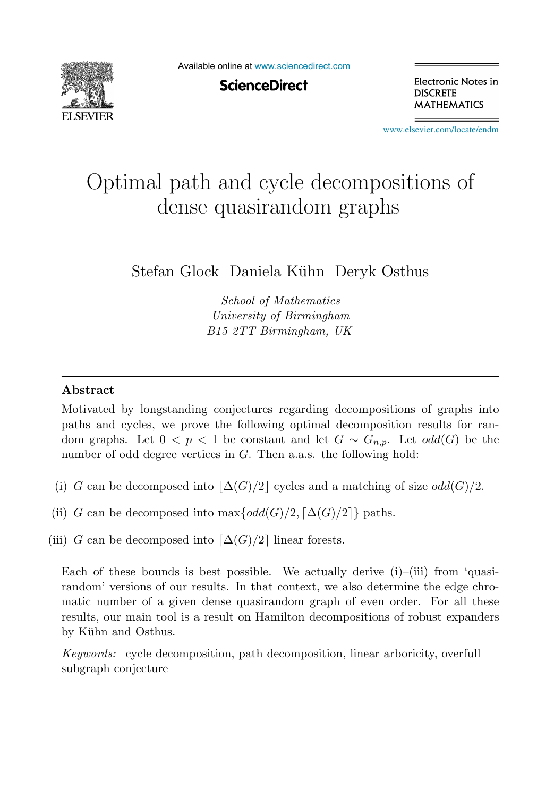

Available online at [www.sciencedirect.com](http://www.sciencedirect.com)

**ScienceDirect** 

Electronic Notes in **DISCRETE MATHEMATICS** 

[www.elsevier.com/locate/endm](http://www.elsevier.com/locate/endm)

# Optimal path and cycle decompositions of dense quasirandom graphs

Stefan Glock Daniela Kühn Deryk Osthus

School of Mathematics University of Birmingham B15 2TT Birmingham, UK

## **Abstract**

Motivated by longstanding conjectures regarding decompositions of graphs into paths and cycles, we prove the following optimal decomposition results for random graphs. Let  $0 < p < 1$  be constant and let  $G \sim G_{n,p}$ . Let  $odd(G)$  be the number of odd degree vertices in G. Then a.a.s. the following hold:

- (i) G can be decomposed into  $\Delta(G)/2$  cycles and a matching of size odd(G)/2.
- (ii) G can be decomposed into  $\max\{odd(G)/2, \lceil \Delta(G)/2 \rceil\}$  paths.
- (iii) G can be decomposed into  $\lceil \Delta(G)/2 \rceil$  linear forests.

Each of these bounds is best possible. We actually derive  $(i)$ – $(iii)$  from 'quasirandom' versions of our results. In that context, we also determine the edge chromatic number of a given dense quasirandom graph of even order. For all these results, our main tool is a result on Hamilton decompositions of robust expanders by Kühn and Osthus.

Keywords: cycle decomposition, path decomposition, linear arboricity, overfull subgraph conjecture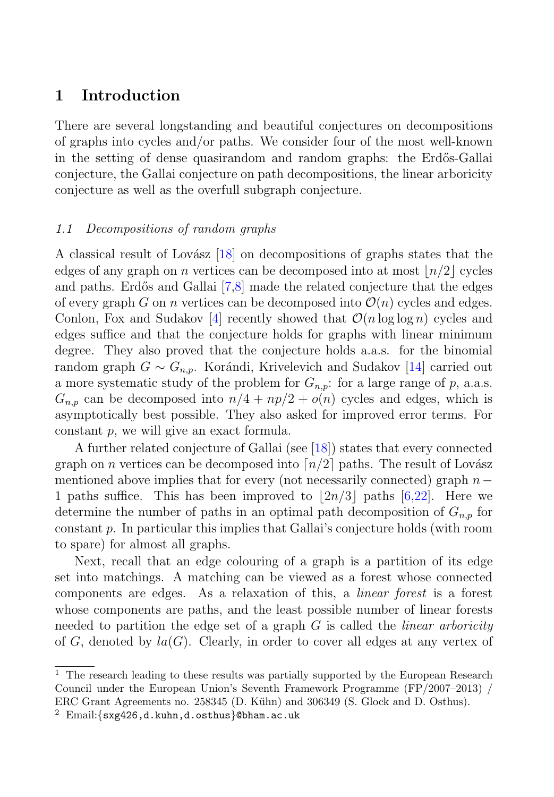# **1 Introduction**

There are several longstanding and beautiful conjectures on decompositions of graphs into cycles and/or paths. We consider four of the most well-known in the setting of dense quasirandom and random graphs: the Erdős-Gallai conjecture, the Gallai conjecture on path decompositions, the linear arboricity conjecture as well as the overfull subgraph conjecture.

## 1.1 Decompositions of random graphs

A classical result of Lovász  $[18]$  on decompositions of graphs states that the edges of any graph on n vertices can be decomposed into at most  $n/2$  cycles and paths. Erdős and Gallai [7,8] made the related conjecture that the edges of every graph G on n vertices can be decomposed into  $\mathcal{O}(n)$  cycles and edges. Conlon, Fox and Sudakov [4] recently showed that  $\mathcal{O}(n \log \log n)$  cycles and edges suffice and that the conjecture holds for graphs with linear minimum degree. They also proved that the conjecture holds a.a.s. for the binomial random graph  $G \sim G_{n,p}$ . Korándi, Krivelevich and Sudakov [14] carried out a more systematic study of the problem for  $G_{n,p}$ : for a large range of p, a.a.s.  $G_{n,p}$  can be decomposed into  $n/4 + np/2 + o(n)$  cycles and edges, which is asymptotically best possible. They also asked for improved error terms. For constant p, we will give an exact formula.

A further related conjecture of Gallai (see [18]) states that every connected graph on *n* vertices can be decomposed into  $\lceil n/2 \rceil$  paths. The result of Lovász mentioned above implies that for every (not necessarily connected) graph  $n -$ 1 paths suffice. This has been improved to  $|2n/3|$  paths  $[6,22]$ . Here we determine the number of paths in an optimal path decomposition of  $G_{n,p}$  for constant p. In particular this implies that Gallai's conjecture holds (with room to spare) for almost all graphs.

Next, recall that an edge colouring of a graph is a partition of its edge set into matchings. A matching can be viewed as a forest whose connected components are edges. As a relaxation of this, a linear forest is a forest whose components are paths, and the least possible number of linear forests needed to partition the edge set of a graph  $G$  is called the *linear arboricity* of G, denoted by  $la(G)$ . Clearly, in order to cover all edges at any vertex of

 $^{\rm 1}$  The research leading to these results was partially supported by the European Research Council under the European Union's Seventh Framework Programme (FP/2007–2013) / ERC Grant Agreements no. 258345 (D. Kühn) and 306349 (S. Glock and D. Osthus).

 $2$  Email:  $\{s x g 426, d.kuhn, d.osthus\}$ ©bham.ac.uk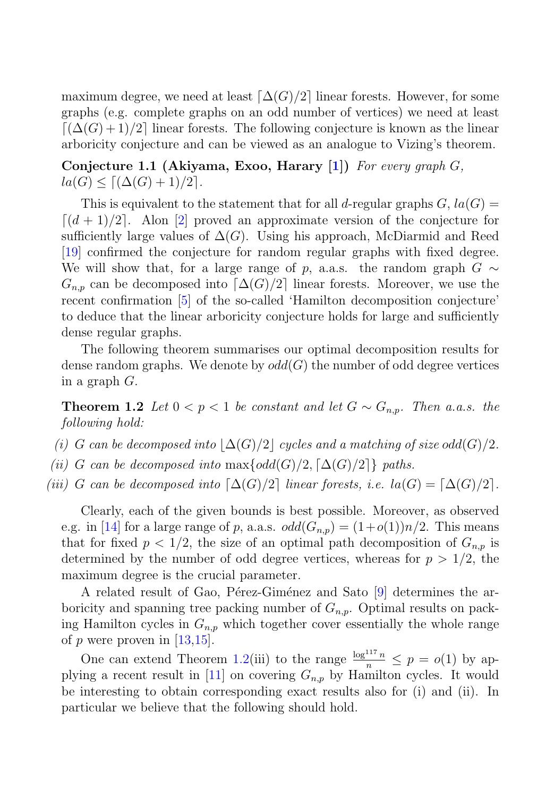maximum degree, we need at least  $\lceil \Delta(G)/2 \rceil$  linear forests. However, for some graphs (e.g. complete graphs on an odd number of vertices) we need at least  $\lceil (\Delta(G) + 1)/2 \rceil$  linear forests. The following conjecture is known as the linear arboricity conjecture and can be viewed as an analogue to Vizing's theorem.

## **Conjecture 1.1 (Akiyama, Exoo, Harary [1])** For every graph G,  $la(G) \leq \lceil (\Delta(G) + 1)/2 \rceil$ .

This is equivalent to the statement that for all d-regular graphs  $G$ ,  $la(G)$  =  $\lceil (d+1)/2 \rceil$ . Alon [2] proved an approximate version of the conjecture for sufficiently large values of  $\Delta(G)$ . Using his approach, McDiarmid and Reed [19] confirmed the conjecture for random regular graphs with fixed degree. We will show that, for a large range of p, a.a.s. the random graph  $G \sim$  $G_{n,p}$  can be decomposed into  $\lceil \Delta(G)/2 \rceil$  linear forests. Moreover, we use the recent confirmation [5] of the so-called 'Hamilton decomposition conjecture' to deduce that the linear arboricity conjecture holds for large and sufficiently dense regular graphs.

The following theorem summarises our optimal decomposition results for dense random graphs. We denote by  $odd(G)$  the number of odd degree vertices in a graph G.

**Theorem 1.2** Let  $0 < p < 1$  be constant and let  $G \sim G_{n,p}$ . Then a.a.s. the following hold:

- (i) G can be decomposed into  $\lfloor \Delta(G)/2 \rfloor$  cycles and a matching of size odd(G)/2.
- (ii) G can be decomposed into  $\max\{odd(G)/2, \lceil\Delta(G)/2\rceil\}$  paths.
- (iii) G can be decomposed into  $\lceil \Delta(G)/2 \rceil$  linear forests, i.e.  $la(G) = \lceil \Delta(G)/2 \rceil$ .

Clearly, each of the given bounds is best possible. Moreover, as observed e.g. in [14] for a large range of p, a.a.s.  $odd(G_{n,p}) = (1+o(1))n/2$ . This means that for fixed  $p < 1/2$ , the size of an optimal path decomposition of  $G_{n,p}$  is determined by the number of odd degree vertices, whereas for  $p > 1/2$ , the maximum degree is the crucial parameter.

A related result of Gao, Pérez-Giménez and Sato [9] determines the arboricity and spanning tree packing number of  $G_{n,p}$ . Optimal results on packing Hamilton cycles in  $G_{n,p}$  which together cover essentially the whole range of  $p$  were proven in [13,15].

One can extend Theorem 1.2(iii) to the range  $\frac{\log^{117} n}{n} \leq p = o(1)$  by applying a recent result in [11] on covering  $G_{n,p}$  by Hamilton cycles. It would be interesting to obtain corresponding exact results also for (i) and (ii). In particular we believe that the following should hold.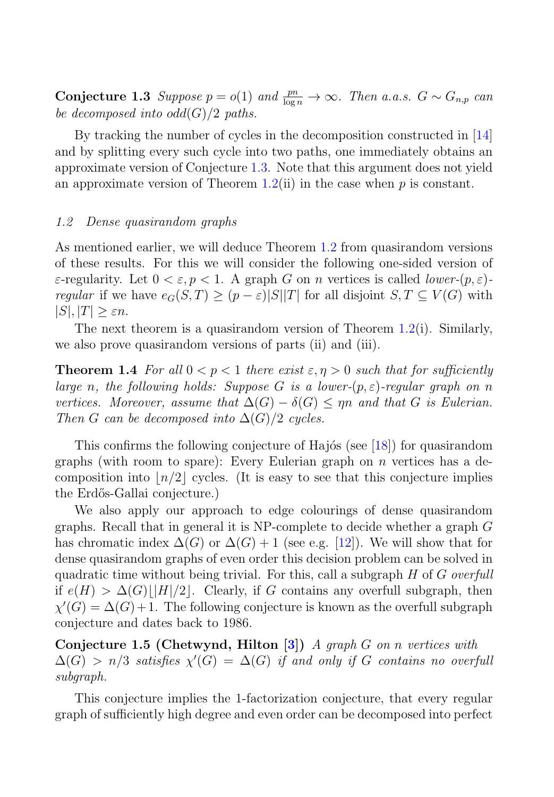**Conjecture 1.3** Suppose  $p = o(1)$  and  $\frac{pn}{\log n} \to \infty$ . Then a.a.s.  $G \sim G_{n,p}$  can be decomposed into  $odd(G)/2$  paths be decomposed into  $odd(G)/2$  paths.

By tracking the number of cycles in the decomposition constructed in [14] and by splitting every such cycle into two paths, one immediately obtains an approximate version of Conjecture 1.3. Note that this argument does not yield an approximate version of Theorem 1.2(ii) in the case when  $p$  is constant.

#### 1.2 Dense quasirandom graphs

As mentioned earlier, we will deduce Theorem 1.2 from quasirandom versions of these results. For this we will consider the following one-sided version of  $\varepsilon$ -regularity. Let  $0 < \varepsilon, p < 1$ . A graph G on n vertices is called *lower-(p,*  $\varepsilon$ *)regular* if we have  $e_G(S,T) \ge (p - \varepsilon)|S||T|$  for all disjoint  $S,T \subseteq V(G)$  with  $|S|, |T| \geq \varepsilon n$ .

The next theorem is a quasirandom version of Theorem 1.2(i). Similarly, we also prove quasirandom versions of parts (ii) and (iii).

**Theorem 1.4** For all  $0 < p < 1$  there exist  $\varepsilon, \eta > 0$  such that for sufficiently large n, the following holds: Suppose G is a lower- $(p, \varepsilon)$ -regular graph on n vertices. Moreover, assume that  $\Delta(G) - \delta(G) \le \eta n$  and that G is Eulerian. Then G can be decomposed into  $\Delta(G)/2$  cycles.

This confirms the following conjecture of Hajós (see  $[18]$ ) for quasirandom graphs (with room to spare): Every Eulerian graph on  $n$  vertices has a decomposition into  $n/2$  cycles. (It is easy to see that this conjecture implies the Erdős-Gallai conjecture.)

We also apply our approach to edge colourings of dense quasirandom graphs. Recall that in general it is NP-complete to decide whether a graph G has chromatic index  $\Delta(G)$  or  $\Delta(G) + 1$  (see e.g. [12]). We will show that for dense quasirandom graphs of even order this decision problem can be solved in quadratic time without being trivial. For this, call a subgraph  $H$  of  $G$  overfull if  $e(H) > \Delta(G)|[H]/2]$ . Clearly, if G contains any overfull subgraph, then  $\chi'(G) = \Delta(G) + 1$ . The following conjecture is known as the overfull subgraph conjecture and dates back to 1986.

**Conjecture 1.5 (Chetwynd, Hilton [3])** A graph G on n vertices with  $\Delta(G) > n/3$  satisfies  $\chi'(G) = \Delta(G)$  if and only if G contains no overfull subgraph.

This conjecture implies the 1-factorization conjecture, that every regular graph of sufficiently high degree and even order can be decomposed into perfect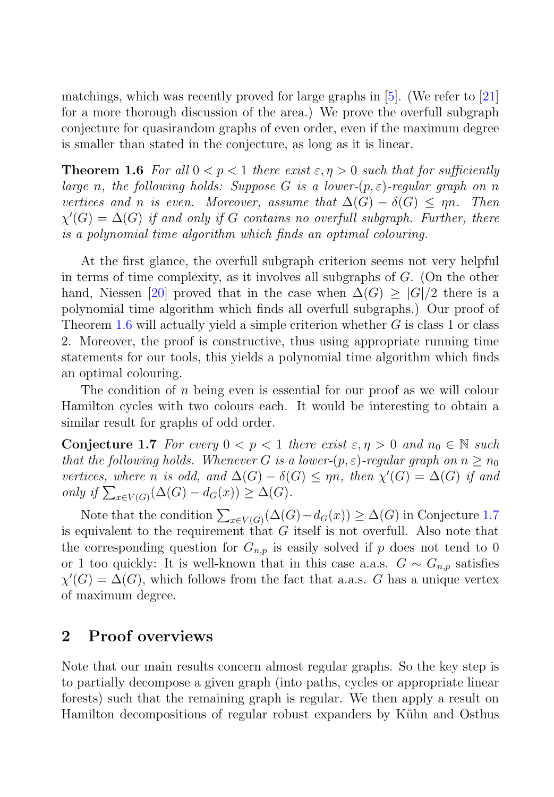matchings, which was recently proved for large graphs in [5]. (We refer to [21] for a more thorough discussion of the area.) We prove the overfull subgraph conjecture for quasirandom graphs of even order, even if the maximum degree is smaller than stated in the conjecture, as long as it is linear.

**Theorem 1.6** For all  $0 < p < 1$  there exist  $\varepsilon, \eta > 0$  such that for sufficiently large n, the following holds: Suppose G is a lower- $(p, \varepsilon)$ -regular graph on n vertices and n is even. Moreover, assume that  $\Delta(G) - \delta(G) \leq \eta n$ . Then  $\chi'(G) = \Delta(G)$  if and only if G contains no overfull subgraph. Further, there is a polynomial time algorithm which finds an optimal colouring.

At the first glance, the overfull subgraph criterion seems not very helpful in terms of time complexity, as it involves all subgraphs of  $G$ . (On the other hand, Niessen [20] proved that in the case when  $\Delta(G) \geq |G|/2$  there is a polynomial time algorithm which finds all overfull subgraphs.) Our proof of Theorem 1.6 will actually yield a simple criterion whether  $G$  is class 1 or class 2. Moreover, the proof is constructive, thus using appropriate running time statements for our tools, this yields a polynomial time algorithm which finds an optimal colouring.

The condition of n being even is essential for our proof as we will colour Hamilton cycles with two colours each. It would be interesting to obtain a similar result for graphs of odd order.

**Conjecture 1.7** For every  $0 < p < 1$  there exist  $\varepsilon, \eta > 0$  and  $n_0 \in \mathbb{N}$  such that the following holds. Whenever G is a lower- $(p, \varepsilon)$ -regular graph on  $n > n_0$ vertices, where n is odd, and  $\Delta(G) - \delta(G) \leq \eta n$ , then  $\chi'(G) = \Delta(G)$  if and only if  $\sum_{x \in V(G)} (\Delta(G) - d_G(x)) \geq \Delta(G)$ .

Note that the condition  $\sum_{x \in V(G)} (\Delta(G) - d_G(x)) \ge \Delta(G)$  in Conjecture 1.7<br>quivalent to the requirement that G itself is not overfull. Also note that is equivalent to the requirement that  $G$  itself is not overfull. Also note that the corresponding question for  $G_{n,p}$  is easily solved if p does not tend to 0 or 1 too quickly: It is well-known that in this case a.a.s.  $G \sim G_{n,p}$  satisfies  $\chi'(G) = \Delta(G)$ , which follows from the fact that a.a.s. G has a unique vertex of maximum degree.

# **2 Proof overviews**

Note that our main results concern almost regular graphs. So the key step is to partially decompose a given graph (into paths, cycles or appropriate linear forests) such that the remaining graph is regular. We then apply a result on Hamilton decompositions of regular robust expanders by Kühn and Osthus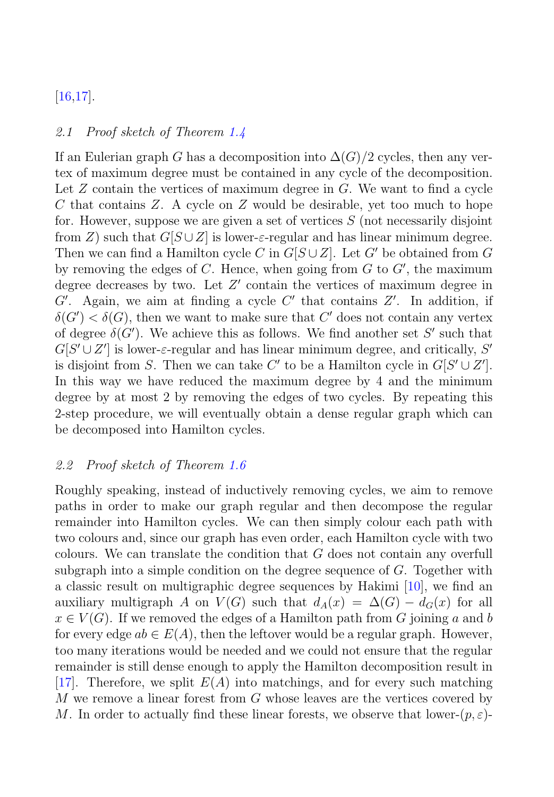# [16,17].

#### 2.1 Proof sketch of Theorem 1.4

If an Eulerian graph G has a decomposition into  $\Delta(G)/2$  cycles, then any vertex of maximum degree must be contained in any cycle of the decomposition. Let  $Z$  contain the vertices of maximum degree in  $G$ . We want to find a cycle C that contains Z. A cycle on Z would be desirable, yet too much to hope for. However, suppose we are given a set of vertices  $S$  (not necessarily disjoint from Z) such that  $G[S \cup Z]$  is lower- $\varepsilon$ -regular and has linear minimum degree. Then we can find a Hamilton cycle C in  $G[S \cup Z]$ . Let G' be obtained from G by removing the edges of  $C$ . Hence, when going from  $G$  to  $G'$ , the maximum degree decreases by two. Let  $Z'$  contain the vertices of maximum degree in  $G'$ . Again, we aim at finding a cycle  $C'$  that contains  $Z'$ . In addition, if  $\delta(G') < \delta(G)$ , then we want to make sure that C' does not contain any vertex of degree  $\delta(G')$ . We achieve this as follows. We find another set S' such that  $G[S' \cup Z']$  is lower- $\varepsilon$ -regular and has linear minimum degree, and critically, S' is disjoint from S. Then we can take C' to be a Hamilton cycle in  $G[S' \cup Z']$ . In this way we have reduced the maximum degree by 4 and the minimum degree by at most 2 by removing the edges of two cycles. By repeating this 2-step procedure, we will eventually obtain a dense regular graph which can be decomposed into Hamilton cycles.

#### 2.2 Proof sketch of Theorem 1.6

Roughly speaking, instead of inductively removing cycles, we aim to remove paths in order to make our graph regular and then decompose the regular remainder into Hamilton cycles. We can then simply colour each path with two colours and, since our graph has even order, each Hamilton cycle with two colours. We can translate the condition that G does not contain any overfull subgraph into a simple condition on the degree sequence of  $G$ . Together with a classic result on multigraphic degree sequences by Hakimi [10], we find an auxiliary multigraph A on  $V(G)$  such that  $d_A(x) = \Delta(G) - d_G(x)$  for all  $x \in V(G)$ . If we removed the edges of a Hamilton path from G joining a and b for every edge  $ab \in E(A)$ , then the leftover would be a regular graph. However, too many iterations would be needed and we could not ensure that the regular remainder is still dense enough to apply the Hamilton decomposition result in [17]. Therefore, we split  $E(A)$  into matchings, and for every such matching  $M$  we remove a linear forest from  $G$  whose leaves are the vertices covered by M. In order to actually find these linear forests, we observe that lower- $(p, \varepsilon)$ -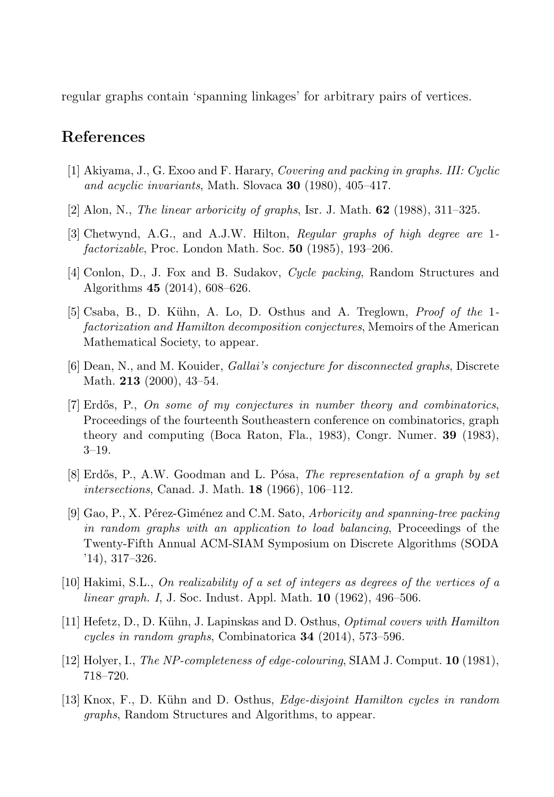regular graphs contain 'spanning linkages' for arbitrary pairs of vertices.

## **References**

- [1] Akiyama, J., G. Exoo and F. Harary, Covering and packing in graphs. III: Cyclic and acyclic invariants, Math. Slovaca **30** (1980), 405–417.
- [2] Alon, N., The linear arboricity of graphs, Isr. J. Math. **62** (1988), 311–325.
- [3] Chetwynd, A.G., and A.J.W. Hilton, Regular graphs of high degree are 1 factorizable, Proc. London Math. Soc. **50** (1985), 193–206.
- [4] Conlon, D., J. Fox and B. Sudakov, Cycle packing, Random Structures and Algorithms **45** (2014), 608–626.
- [5] Csaba, B., D. K¨uhn, A. Lo, D. Osthus and A. Treglown, Proof of the 1 factorization and Hamilton decomposition conjectures, Memoirs of the American Mathematical Society, to appear.
- [6] Dean, N., and M. Kouider, Gallai's conjecture for disconnected graphs, Discrete Math. **213** (2000), 43–54.
- [7] Erdős, P., On some of my conjectures in number theory and combinatorics, Proceedings of the fourteenth Southeastern conference on combinatorics, graph theory and computing (Boca Raton, Fla., 1983), Congr. Numer. **39** (1983), 3–19.
- $[8]$  Erdős, P., A.W. Goodman and L. Pósa, The representation of a graph by set intersections, Canad. J. Math. **18** (1966), 106–112.
- [9] Gao, P., X. Pérez-Giménez and C.M. Sato, Arboricity and spanning-tree packing in random graphs with an application to load balancing, Proceedings of the Twenty-Fifth Annual ACM-SIAM Symposium on Discrete Algorithms (SODA '14), 317–326.
- [10] Hakimi, S.L., On realizability of a set of integers as degrees of the vertices of a linear graph. I, J. Soc. Indust. Appl. Math. **10** (1962), 496–506.
- [11] Hefetz, D., D. Kühn, J. Lapinskas and D. Osthus, *Optimal covers with Hamilton* cycles in random graphs, Combinatorica **34** (2014), 573–596.
- [12] Holyer, I., The NP-completeness of edge-colouring, SIAM J. Comput. **10** (1981), 718–720.
- [13] Knox, F., D. Kühn and D. Osthus, *Edge-disjoint Hamilton cycles in random* graphs, Random Structures and Algorithms, to appear.